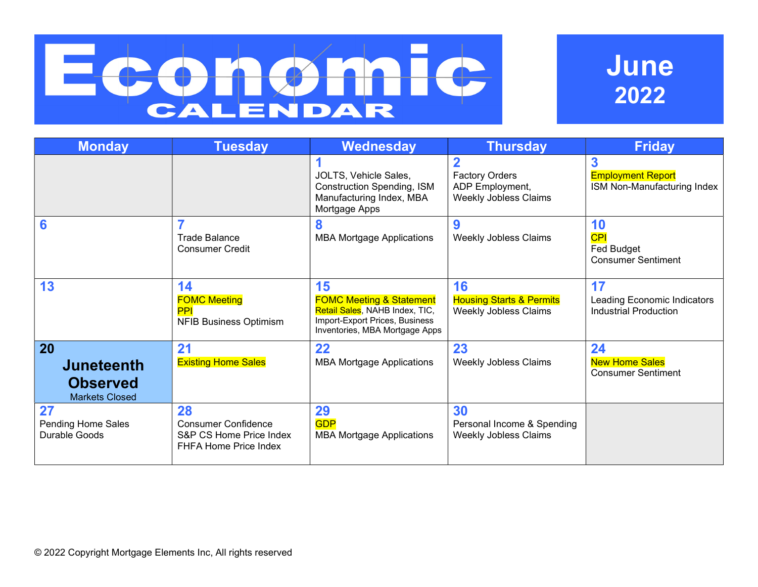# **FC** C CALENDAR

# June 2022

| <b>Monday</b>                                                       | <b>Tuesday</b>                                                                       | Wednesday                                                                                                                                       | <b>Thursday</b>                                                                     | <b>Friday</b>                                                     |
|---------------------------------------------------------------------|--------------------------------------------------------------------------------------|-------------------------------------------------------------------------------------------------------------------------------------------------|-------------------------------------------------------------------------------------|-------------------------------------------------------------------|
|                                                                     |                                                                                      | JOLTS, Vehicle Sales,<br><b>Construction Spending, ISM</b><br>Manufacturing Index, MBA<br>Mortgage Apps                                         | $\overline{2}$<br><b>Factory Orders</b><br>ADP Employment,<br>Weekly Jobless Claims | 3<br><b>Employment Report</b><br>ISM Non-Manufacturing Index      |
| 6                                                                   | Trade Balance<br><b>Consumer Credit</b>                                              | 8<br><b>MBA Mortgage Applications</b>                                                                                                           | 9<br>Weekly Jobless Claims                                                          | 10<br><b>CPI</b><br>Fed Budget<br><b>Consumer Sentiment</b>       |
| 13                                                                  | 14<br><b>FOMC Meeting</b><br><b>PPI</b><br><b>NFIB Business Optimism</b>             | 15<br><b>FOMC Meeting &amp; Statement</b><br>Retail Sales, NAHB Index, TIC,<br>Import-Export Prices, Business<br>Inventories, MBA Mortgage Apps | 16<br><b>Housing Starts &amp; Permits</b><br><b>Weekly Jobless Claims</b>           | 17<br>Leading Economic Indicators<br><b>Industrial Production</b> |
| 20<br><b>Juneteenth</b><br><b>Observed</b><br><b>Markets Closed</b> | 21<br><b>Existing Home Sales</b>                                                     | 22<br><b>MBA Mortgage Applications</b>                                                                                                          | 23<br><b>Weekly Jobless Claims</b>                                                  | 24<br><b>New Home Sales</b><br><b>Consumer Sentiment</b>          |
| 27<br>Pending Home Sales<br>Durable Goods                           | 28<br><b>Consumer Confidence</b><br>S&P CS Home Price Index<br>FHFA Home Price Index | 29<br><b>GDP</b><br><b>MBA Mortgage Applications</b>                                                                                            | 30<br>Personal Income & Spending<br><b>Weekly Jobless Claims</b>                    |                                                                   |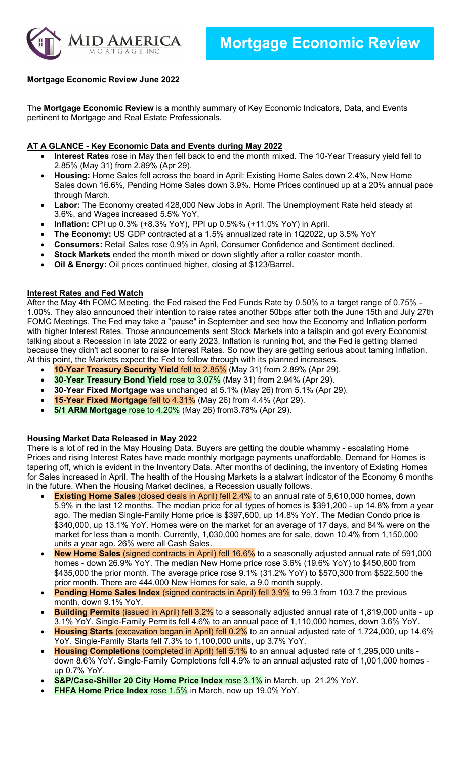

# Mortgage Economic Review June 2022

The Mortgage Economic Review is a monthly summary of Key Economic Indicators, Data, and Events pertinent to Mortgage and Real Estate Professionals.

## AT A GLANCE - Key Economic Data and Events during May 2022

- Interest Rates rose in May then fell back to end the month mixed. The 10-Year Treasury yield fell to 2.85% (May 31) from 2.89% (Apr 29).
- Housing: Home Sales fell across the board in April: Existing Home Sales down 2.4%, New Home Sales down 16.6%, Pending Home Sales down 3.9%. Home Prices continued up at a 20% annual pace through March.
- Labor: The Economy created 428,000 New Jobs in April. The Unemployment Rate held steady at 3.6%, and Wages increased 5.5% YoY.
- Inflation: CPI up 0.3% (+8.3% YoY), PPI up 0.5%% (+11.0% YoY) in April.
- The Economy: US GDP contracted at a 1.5% annualized rate in 1Q2022, up 3.5% YoY
- Consumers: Retail Sales rose 0.9% in April, Consumer Confidence and Sentiment declined.
- Stock Markets ended the month mixed or down slightly after a roller coaster month.
- Oil & Energy: Oil prices continued higher, closing at \$123/Barrel.

#### Interest Rates and Fed Watch

After the May 4th FOMC Meeting, the Fed raised the Fed Funds Rate by 0.50% to a target range of 0.75% - 1.00%. They also announced their intention to raise rates another 50bps after both the June 15th and July 27th FOMC Meetings. The Fed may take a "pause" in September and see how the Economy and Inflation perform with higher Interest Rates. Those announcements sent Stock Markets into a tailspin and got every Economist talking about a Recession in late 2022 or early 2023. Inflation is running hot, and the Fed is getting blamed because they didn't act sooner to raise Interest Rates. So now they are getting serious about taming Inflation. At this point, the Markets expect the Fed to follow through with its planned increases.

- 10-Year Treasury Security Yield fell to 2.85% (May 31) from 2.89% (Apr 29).
- 30-Year Treasury Bond Yield rose to 3.07% (May 31) from 2.94% (Apr 29).
- 30-Year Fixed Mortgage was unchanged at 5.1% (May 26) from 5.1% (Apr 29).
- **15-Year Fixed Mortgage fell to 4.31%** (May 26) from 4.4% (Apr 29).
- 5/1 ARM Mortgage rose to 4.20% (May 26) from 3.78% (Apr 29).

#### Housing Market Data Released in May 2022

There is a lot of red in the May Housing Data. Buyers are getting the double whammy - escalating Home Prices and rising Interest Rates have made monthly mortgage payments unaffordable. Demand for Homes is tapering off, which is evident in the Inventory Data. After months of declining, the inventory of Existing Homes for Sales increased in April. The health of the Housing Markets is a stalwart indicator of the Economy 6 months in the future. When the Housing Market declines, a Recession usually follows.

- **Existing Home Sales** (closed deals in April) fell 2.4% to an annual rate of 5,610,000 homes, down 5.9% in the last 12 months. The median price for all types of homes is \$391,200 - up 14.8% from a year ago. The median Single-Family Home price is \$397,600, up 14.8% YoY. The Median Condo price is \$340,000, up 13.1% YoY. Homes were on the market for an average of 17 days, and 84% were on the market for less than a month. Currently, 1,030,000 homes are for sale, down 10.4% from 1,150,000 units a year ago. 26% were all Cash Sales.
- New Home Sales (signed contracts in April) fell 16.6% to a seasonally adjusted annual rate of 591,000 homes - down 26.9% YoY. The median New Home price rose 3.6% (19.6% YoY) to \$450,600 from \$435,000 the prior month. The average price rose 9.1% (31.2% YoY) to \$570,300 from \$522,500 the prior month. There are 444,000 New Homes for sale, a 9.0 month supply.
- **Pending Home Sales Index** (signed contracts in April) fell 3.9% to 99.3 from 103.7 the previous month, down 9.1% YoY.
- Building Permits (issued in April) fell 3.2% to a seasonally adjusted annual rate of 1,819,000 units up 3.1% YoY. Single-Family Permits fell 4.6% to an annual pace of 1,110,000 homes, down 3.6% YoY.
- Housing Starts (excavation began in April) fell 0.2% to an annual adjusted rate of 1,724,000, up 14.6% YoY. Single-Family Starts fell 7.3% to 1,100,000 units, up 3.7% YoY.
- Housing Completions (completed in April) fell 5.1% to an annual adjusted rate of 1,295,000 units down 8.6% YoY. Single-Family Completions fell 4.9% to an annual adjusted rate of 1,001,000 homes up 0.7% YoY.
- S&P/Case-Shiller 20 City Home Price Index rose 3.1% in March, up 21.2% YoY.
- FHFA Home Price Index rose 1.5% in March, now up 19.0% YoY.